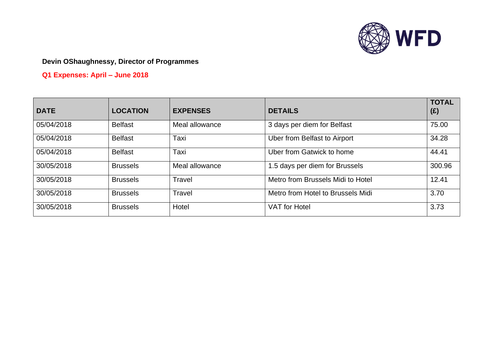

# **Q1 Expenses: April – June 2018**

| <b>DATE</b> | <b>LOCATION</b> | <b>EXPENSES</b> | <b>DETAILS</b>                    | <b>TOTAL</b><br>(E) |
|-------------|-----------------|-----------------|-----------------------------------|---------------------|
| 05/04/2018  | <b>Belfast</b>  | Meal allowance  | 3 days per diem for Belfast       | 75.00               |
| 05/04/2018  | <b>Belfast</b>  | Taxi            | Uber from Belfast to Airport      | 34.28               |
| 05/04/2018  | <b>Belfast</b>  | Taxi            | Uber from Gatwick to home         | 44.41               |
| 30/05/2018  | <b>Brussels</b> | Meal allowance  | 1.5 days per diem for Brussels    | 300.96              |
| 30/05/2018  | <b>Brussels</b> | Travel          | Metro from Brussels Midi to Hotel | 12.41               |
| 30/05/2018  | <b>Brussels</b> | Travel          | Metro from Hotel to Brussels Midi | 3.70                |
| 30/05/2018  | <b>Brussels</b> | Hotel           | <b>VAT</b> for Hotel              | 3.73                |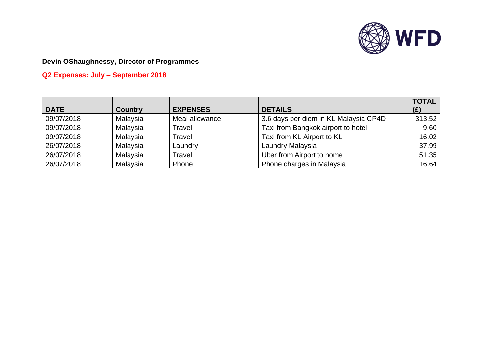

# **Q2 Expenses: July – September 2018**

|             |                |                 |                                       | <b>TOTAL</b> |
|-------------|----------------|-----------------|---------------------------------------|--------------|
| <b>DATE</b> | <b>Country</b> | <b>EXPENSES</b> | <b>DETAILS</b>                        | (E)          |
| 09/07/2018  | Malaysia       | Meal allowance  | 3.6 days per diem in KL Malaysia CP4D | 313.52       |
| 09/07/2018  | Malaysia       | Travel          | Taxi from Bangkok airport to hotel    | 9.60         |
| 09/07/2018  | Malaysia       | Travel          | Taxi from KL Airport to KL            | 16.02        |
| 26/07/2018  | Malaysia       | Laundry         | Laundry Malaysia                      | 37.99        |
| 26/07/2018  | Malaysia       | Travel          | Uber from Airport to home             | 51.35        |
| 26/07/2018  | Malaysia       | Phone           | Phone charges in Malaysia             | 16.64        |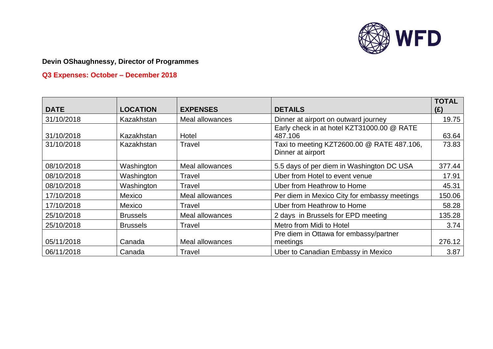

# **Q3 Expenses: October – December 2018**

| <b>DATE</b> | <b>LOCATION</b> | <b>EXPENSES</b>        | <b>DETAILS</b>                                                  | <b>TOTAL</b><br>(£) |
|-------------|-----------------|------------------------|-----------------------------------------------------------------|---------------------|
| 31/10/2018  | Kazakhstan      | <b>Meal allowances</b> | Dinner at airport on outward journey                            | 19.75               |
| 31/10/2018  | Kazakhstan      | Hotel                  | Early check in at hotel KZT31000.00 @ RATE<br>487.106           | 63.64               |
| 31/10/2018  | Kazakhstan      | Travel                 | Taxi to meeting KZT2600.00 @ RATE 487.106,<br>Dinner at airport | 73.83               |
| 08/10/2018  | Washington      | Meal allowances        | 5.5 days of per diem in Washington DC USA                       | 377.44              |
| 08/10/2018  | Washington      | Travel                 | Uber from Hotel to event venue                                  | 17.91               |
| 08/10/2018  | Washington      | Travel                 | Uber from Heathrow to Home                                      | 45.31               |
| 17/10/2018  | Mexico          | Meal allowances        | Per diem in Mexico City for embassy meetings                    | 150.06              |
| 17/10/2018  | Mexico          | Travel                 | Uber from Heathrow to Home                                      | 58.28               |
| 25/10/2018  | <b>Brussels</b> | <b>Meal allowances</b> | 2 days in Brussels for EPD meeting                              | 135.28              |
| 25/10/2018  | <b>Brussels</b> | Travel                 | Metro from Midi to Hotel                                        | 3.74                |
|             |                 |                        | Pre diem in Ottawa for embassy/partner                          |                     |
| 05/11/2018  | Canada          | Meal allowances        | meetings                                                        | 276.12              |
| 06/11/2018  | Canada          | Travel                 | Uber to Canadian Embassy in Mexico                              | 3.87                |